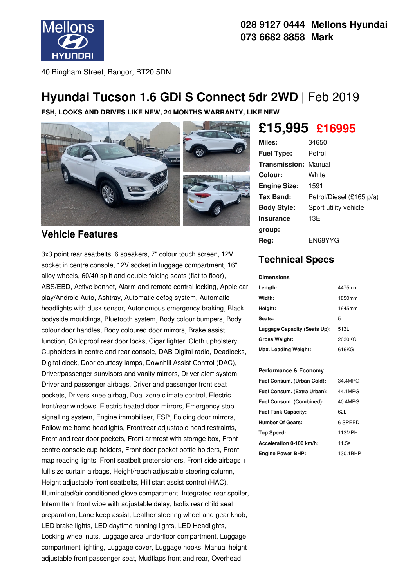

### **028 9127 0444 Mellons Hyundai 073 6682 8858 Mark**

40 Bingham Street, Bangor, BT20 5DN

## **Hyundai Tucson 1.6 GDi S Connect 5dr 2WD** | Feb 2019

**FSH, LOOKS AND DRIVES LIKE NEW, 24 MONTHS WARRANTY, LIKE NEW**



#### **Vehicle Features**

3x3 point rear seatbelts, 6 speakers, 7" colour touch screen, 12V socket in centre console, 12V socket in luggage compartment, 16" alloy wheels, 60/40 split and double folding seats (flat to floor), ABS/EBD, Active bonnet, Alarm and remote central locking, Apple car play/Android Auto, Ashtray, Automatic defog system, Automatic headlights with dusk sensor, Autonomous emergency braking, Black bodyside mouldings, Bluetooth system, Body colour bumpers, Body colour door handles, Body coloured door mirrors, Brake assist function, Childproof rear door locks, Cigar lighter, Cloth upholstery, Cupholders in centre and rear console, DAB Digital radio, Deadlocks, Digital clock, Door courtesy lamps, Downhill Assist Control (DAC), Driver/passenger sunvisors and vanity mirrors, Driver alert system, Driver and passenger airbags, Driver and passenger front seat pockets, Drivers knee airbag, Dual zone climate control, Electric front/rear windows, Electric heated door mirrors, Emergency stop signalling system, Engine immobiliser, ESP, Folding door mirrors, Follow me home headlights, Front/rear adjustable head restraints, Front and rear door pockets, Front armrest with storage box, Front centre console cup holders, Front door pocket bottle holders, Front map reading lights, Front seatbelt pretensioners, Front side airbags + full size curtain airbags, Height/reach adjustable steering column, Height adjustable front seatbelts, Hill start assist control (HAC), Illuminated/air conditioned glove compartment, Integrated rear spoiler, Intermittent front wipe with adjustable delay, Isofix rear child seat preparation, Lane keep assist, Leather steering wheel and gear knob, LED brake lights, LED daytime running lights, LED Headlights, Locking wheel nuts, Luggage area underfloor compartment, Luggage compartment lighting, Luggage cover, Luggage hooks, Manual height adjustable front passenger seat, Mudflaps front and rear, Overhead

# **£15,995 £16995**

| Miles:                      | 34650                    |
|-----------------------------|--------------------------|
| <b>Fuel Type:</b>           | Petrol                   |
| <b>Transmission: Manual</b> |                          |
| Colour:                     | White                    |
| <b>Engine Size:</b>         | 1591                     |
| Tax Band:                   | Petrol/Diesel (£165 p/a) |
| <b>Body Style:</b>          | Sport utility vehicle    |
| <b>Insurance</b>            | 13E                      |
| group:                      |                          |
| Reg:                        | EN68YYG                  |

## **Technical Specs**

**Dimensions**

| Length:                      | 4475mm |
|------------------------------|--------|
| Width:                       | 1850mm |
| Height:                      | 1645mm |
| Seats:                       | 5      |
| Luggage Capacity (Seats Up): | 513L   |
| Gross Weight:                | 2030KG |
| Max. Loading Weight:         | 616KG  |

#### **Performance & Economy**

| Fuel Consum. (Urban Cold):  | 34.4MPG  |
|-----------------------------|----------|
| Fuel Consum. (Extra Urban): | 44.1MPG  |
| Fuel Consum. (Combined):    | 40.4MPG  |
| <b>Fuel Tank Capacity:</b>  | 62L      |
| Number Of Gears:            | 6 SPEED  |
| Top Speed:                  | 113MPH   |
| Acceleration 0-100 km/h:    | 11.5s    |
| <b>Engine Power BHP:</b>    | 130.1BHP |